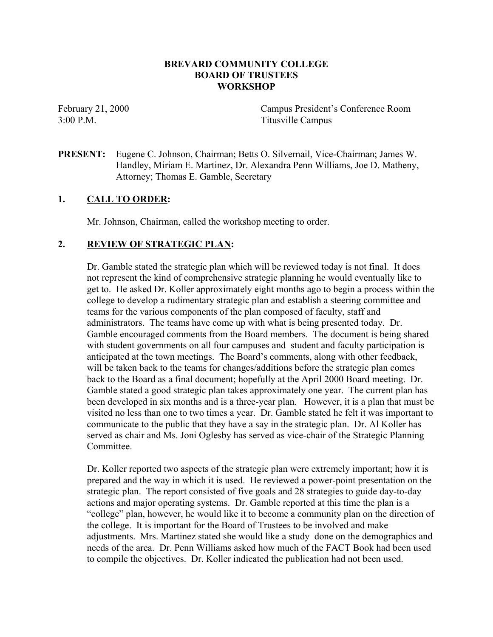## **BREVARD COMMUNITY COLLEGE BOARD OF TRUSTEES WORKSHOP**

February 21, 2000 Campus President's Conference Room 3:00 P.M. Titusville Campus

**PRESENT:** Eugene C. Johnson, Chairman; Betts O. Silvernail, Vice-Chairman; James W. Handley, Miriam E. Martinez, Dr. Alexandra Penn Williams, Joe D. Matheny, Attorney; Thomas E. Gamble, Secretary

## **1. CALL TO ORDER:**

Mr. Johnson, Chairman, called the workshop meeting to order.

## **2. REVIEW OF STRATEGIC PLAN:**

Dr. Gamble stated the strategic plan which will be reviewed today is not final. It does not represent the kind of comprehensive strategic planning he would eventually like to get to. He asked Dr. Koller approximately eight months ago to begin a process within the college to develop a rudimentary strategic plan and establish a steering committee and teams for the various components of the plan composed of faculty, staff and administrators. The teams have come up with what is being presented today. Dr. Gamble encouraged comments from the Board members. The document is being shared with student governments on all four campuses and student and faculty participation is anticipated at the town meetings. The Board's comments, along with other feedback, will be taken back to the teams for changes/additions before the strategic plan comes back to the Board as a final document; hopefully at the April 2000 Board meeting. Dr. Gamble stated a good strategic plan takes approximately one year. The current plan has been developed in six months and is a three-year plan. However, it is a plan that must be visited no less than one to two times a year. Dr. Gamble stated he felt it was important to communicate to the public that they have a say in the strategic plan. Dr. Al Koller has served as chair and Ms. Joni Oglesby has served as vice-chair of the Strategic Planning Committee.

Dr. Koller reported two aspects of the strategic plan were extremely important; how it is prepared and the way in which it is used. He reviewed a power-point presentation on the strategic plan. The report consisted of five goals and 28 strategies to guide day-to-day actions and major operating systems. Dr. Gamble reported at this time the plan is a "college" plan, however, he would like it to become a community plan on the direction of the college. It is important for the Board of Trustees to be involved and make adjustments. Mrs. Martinez stated she would like a study done on the demographics and needs of the area. Dr. Penn Williams asked how much of the FACT Book had been used to compile the objectives. Dr. Koller indicated the publication had not been used.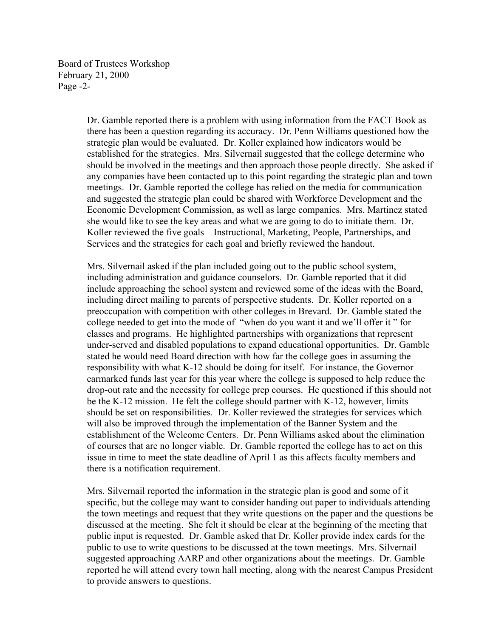Board of Trustees Workshop February 21, 2000 Page -2-

> Dr. Gamble reported there is a problem with using information from the FACT Book as there has been a question regarding its accuracy. Dr. Penn Williams questioned how the strategic plan would be evaluated. Dr. Koller explained how indicators would be established for the strategies. Mrs. Silvernail suggested that the college determine who should be involved in the meetings and then approach those people directly. She asked if any companies have been contacted up to this point regarding the strategic plan and town meetings. Dr. Gamble reported the college has relied on the media for communication and suggested the strategic plan could be shared with Workforce Development and the Economic Development Commission, as well as large companies. Mrs. Martinez stated she would like to see the key areas and what we are going to do to initiate them. Dr. Koller reviewed the five goals – Instructional, Marketing, People, Partnerships, and Services and the strategies for each goal and briefly reviewed the handout.

> Mrs. Silvernail asked if the plan included going out to the public school system, including administration and guidance counselors. Dr. Gamble reported that it did include approaching the school system and reviewed some of the ideas with the Board, including direct mailing to parents of perspective students. Dr. Koller reported on a preoccupation with competition with other colleges in Brevard. Dr. Gamble stated the college needed to get into the mode of "when do you want it and we'll offer it " for classes and programs. He highlighted partnerships with organizations that represent under-served and disabled populations to expand educational opportunities. Dr. Gamble stated he would need Board direction with how far the college goes in assuming the responsibility with what K-12 should be doing for itself. For instance, the Governor earmarked funds last year for this year where the college is supposed to help reduce the drop-out rate and the necessity for college prep courses. He questioned if this should not be the K-12 mission. He felt the college should partner with K-12, however, limits should be set on responsibilities. Dr. Koller reviewed the strategies for services which will also be improved through the implementation of the Banner System and the establishment of the Welcome Centers. Dr. Penn Williams asked about the elimination of courses that are no longer viable. Dr. Gamble reported the college has to act on this issue in time to meet the state deadline of April 1 as this affects faculty members and there is a notification requirement.

> Mrs. Silvernail reported the information in the strategic plan is good and some of it specific, but the college may want to consider handing out paper to individuals attending the town meetings and request that they write questions on the paper and the questions be discussed at the meeting. She felt it should be clear at the beginning of the meeting that public input is requested. Dr. Gamble asked that Dr. Koller provide index cards for the public to use to write questions to be discussed at the town meetings. Mrs. Silvernail suggested approaching AARP and other organizations about the meetings. Dr. Gamble reported he will attend every town hall meeting, along with the nearest Campus President to provide answers to questions.